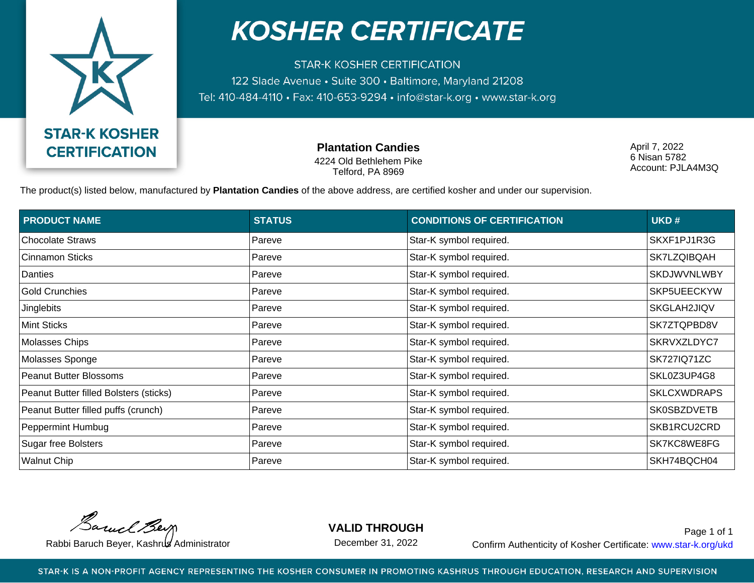

## **KOSHER CERTIFICATE**

**STAR-K KOSHER CERTIFICATION** 122 Slade Avenue · Suite 300 · Baltimore, Maryland 21208 Tel: 410-484-4110 · Fax: 410-653-9294 · info@star-k.org · www.star-k.org

> **Plantation Candies** 4224 Old Bethlehem Pike Telford, PA 8969

April 7, 2022 6 Nisan 5782 Account: PJLA4M3Q

The product(s) listed below, manufactured by **Plantation Candies** of the above address, are certified kosher and under our supervision.

| <b>PRODUCT NAME</b>                    | <b>STATUS</b> | <b>CONDITIONS OF CERTIFICATION</b> | UKD#               |
|----------------------------------------|---------------|------------------------------------|--------------------|
| Chocolate Straws                       | Pareve        | Star-K symbol required.            | SKXF1PJ1R3G        |
| Cinnamon Sticks                        | Pareve        | Star-K symbol required.            | SK7LZQIBQAH        |
| Danties                                | Pareve        | Star-K symbol required.            | SKDJWVNLWBY        |
| <b>Gold Crunchies</b>                  | Pareve        | Star-K symbol required.            | SKP5UEECKYW        |
| Jinglebits                             | Pareve        | Star-K symbol required.            | SKGLAH2JIQV        |
| <b>Mint Sticks</b>                     | Pareve        | Star-K symbol required.            | SK7ZTQPBD8V        |
| Molasses Chips                         | Pareve        | Star-K symbol required.            | SKRVXZLDYC7        |
| Molasses Sponge                        | Pareve        | Star-K symbol required.            | <b>SK727IQ71ZC</b> |
| <b>Peanut Butter Blossoms</b>          | Pareve        | Star-K symbol required.            | SKL0Z3UP4G8        |
| Peanut Butter filled Bolsters (sticks) | Pareve        | Star-K symbol required.            | <b>SKLCXWDRAPS</b> |
| Peanut Butter filled puffs (crunch)    | Pareve        | Star-K symbol required.            | <b>SK0SBZDVETB</b> |
| Peppermint Humbug                      | Pareve        | Star-K symbol required.            | SKB1RCU2CRD        |
| <b>Sugar free Bolsters</b>             | Pareve        | Star-K symbol required.            | SK7KC8WE8FG        |
| <b>Walnut Chip</b>                     | Pareve        | Star-K symbol required.            | SKH74BQCH04        |

Barnel Berg

**VALID THROUGH**

December 31, 2022

Rabbi Baruch Beyer, Kashrus Administrator **Confirm Authenticity of Kosher Certificate:** www.star-k.org/ukd Page 1 of 1

STAR-K IS A NON-PROFIT AGENCY REPRESENTING THE KOSHER CONSUMER IN PROMOTING KASHRUS THROUGH EDUCATION, RESEARCH AND SUPERVISION